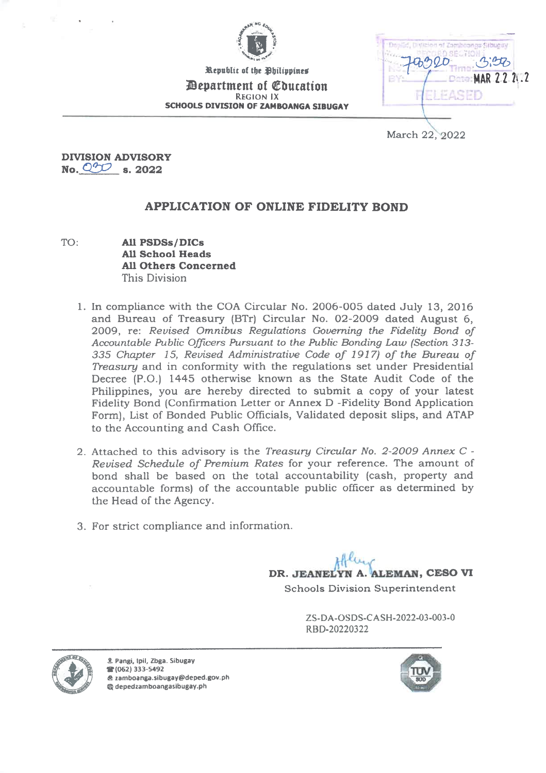

Bepartment of Education Republic of the Philippines REGION IX SCHOOLS DIVISION OF ZAMBOANGA SIBUGAY

**Dominical Divilent** of Zombosnos Sibuas SE MAR 22 2i.2

March 22, 2022

DIVISION ADVISORY No.  $Q^{\prime\prime\prime\prime}$  s. 2022

## APPLICATION OF ONLINE FIDELITY BOND

- TO: All PSDSs/DICs All School Heads All Others Concerned This Division
	- 1. In compliance with the COA Circular No. 2006-005 dated July 13, 2016 and Bureau of Treasury (BTr) Circular No. 02-2009 dated August 6, 2009, re: Revised Omnibus Regulations Governing the Fidelity Bond of Accountable Public Officers Pursuant to the Public Bonding Law (Section 313- 335 Chapter 15, Revised Administrative Code of 1917) of the Bureau of Treasury and in conformity with the regulations set under Presidential Decree (P.O.) 1445 otherwise known as the State Audit Code of the Philippines, you are hereby directed to submit a copy of your latest Fidelity Bond (Confirmation Letter or Annex D -Fidelity Bond Application Form), List of Bonded Public Officials, Validated deposit slips, and ATAP to the Accounting and Cash Office.
	- 2. Attached to this advisory is the Treasury Circular No. 2-2009 Annex C Revised Schedule of Premium Rates for your reference. The amount of bond shall be based on the total accountability (cash, property and accountable forms) of the accountable public officer as determined by the Head of the Agency.
	- 3. For strict compliance and information.

DR. JEANELYN A. ALEMAN, CESO VI

Schools Division Superintendent

ZS-DA-OSDS-CASH-2022-03-003-0 RBD-20220322





Pangi, Ipil, Zbga. Sibugay it (062) 333-5492 zamboanga.sibugay@deped.gov.ph depedzamboangasibugay.ph